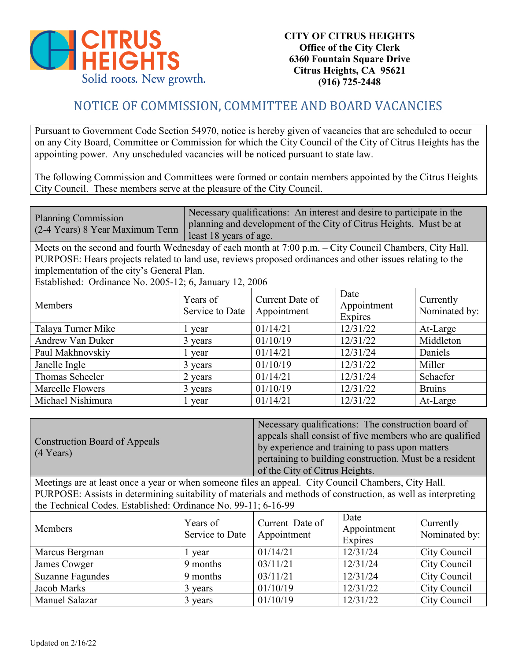

## NOTICE OF COMMISSION, COMMITTEE AND BOARD VACANCIES

Pursuant to Government Code Section 54970, notice is hereby given of vacancies that are scheduled to occur on any City Board, Committee or Commission for which the City Council of the City of Citrus Heights has the appointing power. Any unscheduled vacancies will be noticed pursuant to state law.

The following Commission and Committees were formed or contain members appointed by the Citrus Heights City Council. These members serve at the pleasure of the City Council.

| <b>Planning Commission</b><br>(2-4 Years) 8 Year Maximum Term | Necessary qualifications: An interest and desire to participate in the<br>planning and development of the City of Citrus Heights. Must be at |
|---------------------------------------------------------------|----------------------------------------------------------------------------------------------------------------------------------------------|
|                                                               | least 18 years of age.                                                                                                                       |

Meets on the second and fourth Wednesday of each month at 7:00 p.m. – City Council Chambers, City Hall. PURPOSE: Hears projects related to land use, reviews proposed ordinances and other issues relating to the implementation of the city's General Plan.

Established: Ordinance No. 2005-12; 6, January 12, 2006

| Members                 | Years of<br>Service to Date | Current Date of<br>Appointment | Date<br>Appointment<br>Expires | Currently<br>Nominated by: |
|-------------------------|-----------------------------|--------------------------------|--------------------------------|----------------------------|
| Talaya Turner Mike      | l year                      | 01/14/21                       | 12/31/22                       | At-Large                   |
| Andrew Van Duker        | 3 years                     | 01/10/19                       | 12/31/22                       | Middleton                  |
| Paul Makhnovskiy        | year                        | 01/14/21                       | 12/31/24                       | Daniels                    |
| Janelle Ingle           | 3 years                     | 01/10/19                       | 12/31/22                       | Miller                     |
| Thomas Scheeler         | 2 years                     | 01/14/21                       | 12/31/24                       | Schaefer                   |
| <b>Marcelle Flowers</b> | 3 years                     | 01/10/19                       | 12/31/22                       | <b>Bruins</b>              |
| Michael Nishimura       | l year                      | 01/14/21                       | 12/31/22                       | At-Large                   |

|                               | Necessary qualifications: The construction board of     |
|-------------------------------|---------------------------------------------------------|
| Construction Board of Appeals | appeals shall consist of five members who are qualified |
|                               | by experience and training to pass upon matters         |
| $(4 \text{ Years})$           | pertaining to building construction. Must be a resident |
|                               | of the City of Citrus Heights.                          |

Meetings are at least once a year or when someone files an appeal. City Council Chambers, City Hall. PURPOSE: Assists in determining suitability of materials and methods of construction, as well as interpreting the Technical Codes. Established: Ordinance No. 99-11; 6-16-99

| Members                 | Years of<br>Service to Date | Current Date of<br>Appointment | Date<br>Appointment<br>Expires | Currently<br>Nominated by: |
|-------------------------|-----------------------------|--------------------------------|--------------------------------|----------------------------|
| Marcus Bergman          | vear                        | 01/14/21                       | 12/31/24                       | City Council               |
| James Cowger            | 9 months                    | 03/11/21                       | 12/31/24                       | City Council               |
| <b>Suzanne Fagundes</b> | 9 months                    | 03/11/21                       | 12/31/24                       | City Council               |
| Jacob Marks             | 3 years                     | 01/10/19                       | 12/31/22                       | City Council               |
| Manuel Salazar          | 3 years                     | 01/10/19                       | 12/31/22                       | City Council               |